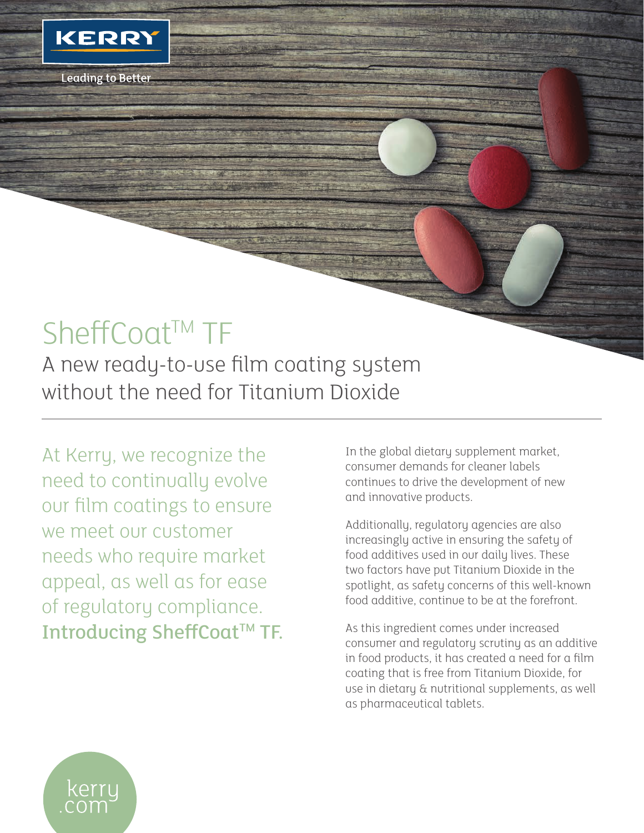

**Leading to Better** 

## SheffCoat™ TF

A new ready-to-use film coating system without the need for Titanium Dioxide

At Kerry, we recognize the need to continually evolve our film coatings to ensure we meet our customer needs who require market appeal, as well as for ease of regulatory compliance. Introducing SheffCoat™ TF. In the global dietary supplement market, consumer demands for cleaner labels continues to drive the development of new and innovative products.

Additionally, regulatory agencies are also increasingly active in ensuring the safety of food additives used in our daily lives. These two factors have put Titanium Dioxide in the spotlight, as safety concerns of this well-known food additive, continue to be at the forefront.

As this ingredient comes under increased consumer and regulatory scrutiny as an additive in food products, it has created a need for a film coating that is free from Titanium Dioxide, for use in dietary & nutritional supplements, as well as pharmaceutical tablets.